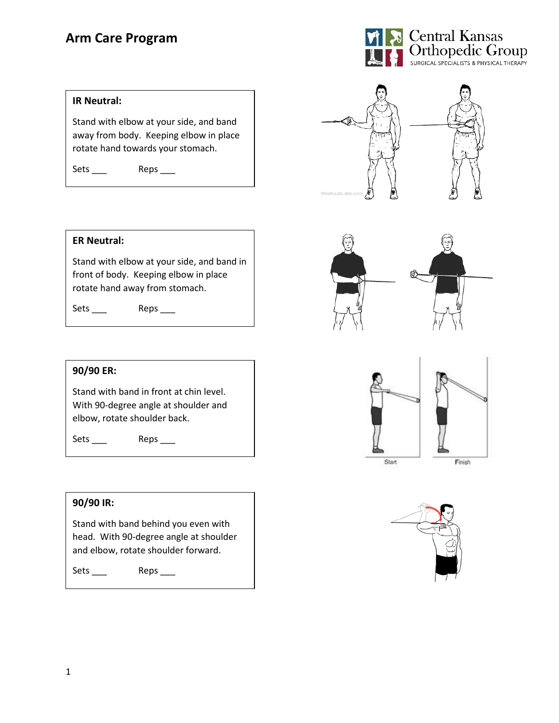# **Arm Care Program**



#### **IR Neutral:**

Stand with elbow at your side, and band away from body. Keeping elbow in place rotate hand towards your stomach.

Sets \_\_\_ Reps \_\_\_

# WorkoutLabs.







#### **ER Neutral:**

Stand with elbow at your side, and band in front of body. Keeping elbow in place rotate hand away from stomach.

Sets \_\_\_ Reps \_\_\_

#### **90/90 ER:**

Stand with band in front at chin level. With 90-degree angle at shoulder and elbow, rotate shoulder back.

Sets \_\_\_\_ Reps \_\_\_

# **90/90 IR:**

Stand with band behind you even with head. With 90-degree angle at shoulder and elbow, rotate shoulder forward.

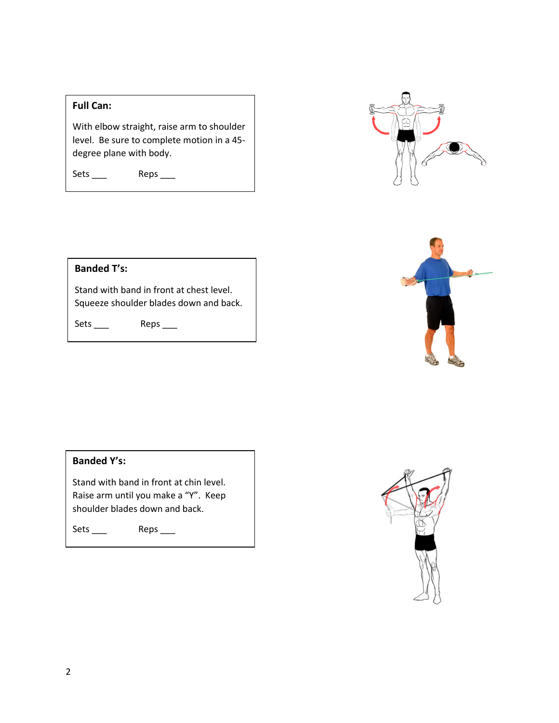## **Full Can:**

With elbow straight, raise arm to shoulder level. Be sure to complete motion in a 45 degree plane with body.

Sets \_\_\_ Reps \_\_\_





# **Banded T's:**

Stand with band in front at chest level. Squeeze shoulder blades down and back.

Sets \_\_\_ Reps \_\_\_



Stand with band in front at chin level. Raise arm until you make a "Y". Keep shoulder blades down and back.

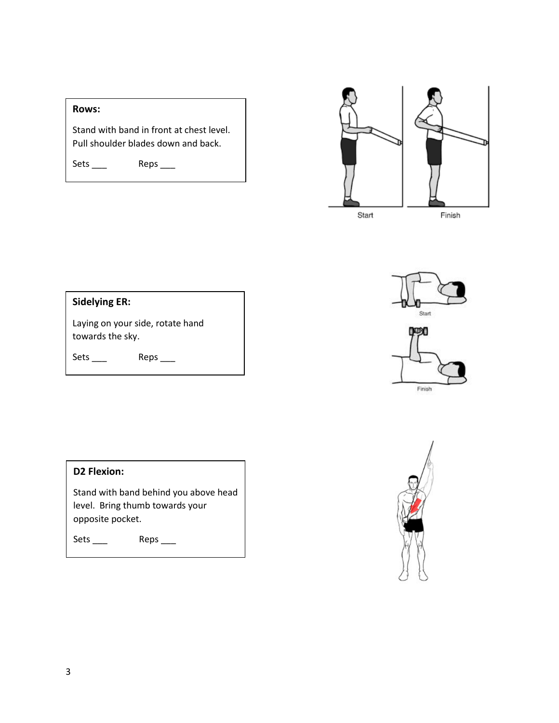# **Rows:**

Stand with band in front at chest level. Pull shoulder blades down and back.

Sets \_\_\_ Reps \_\_\_



| <b>Sidelying ER:</b>                                 |      |
|------------------------------------------------------|------|
| Laying on your side, rotate hand<br>towards the sky. |      |
| Sets                                                 | Reps |







# **D2 Flexion:**

Stand with band behind you above head level. Bring thumb towards your opposite pocket.